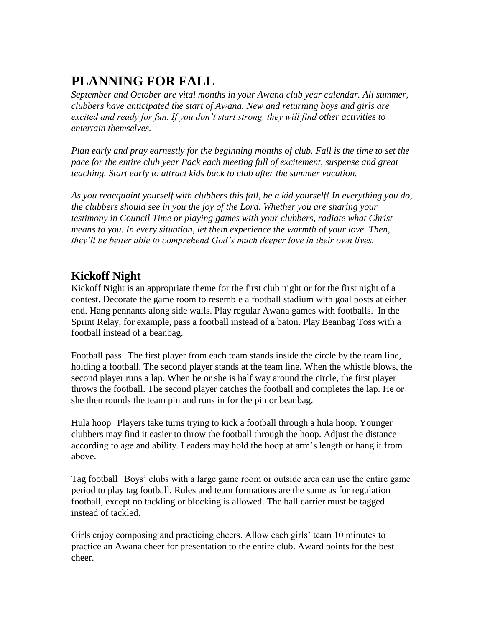# **PLANNING FOR FALL**

*September and October are vital months in your Awana club year calendar. All summer, clubbers have anticipated the start of Awana. New and returning boys and girls are excited and ready for fun. If you don't start strong, they will find other activities to entertain themselves.*

*Plan early and pray earnestly for the beginning months of club. Fall is the time to set the pace for the entire club year Pack each meeting full of excitement, suspense and great teaching. Start early to attract kids back to club after the summer vacation.*

*As you reacquaint yourself with clubbers this fall, be a kid yourself! In everything you do, the clubbers should see in you the joy of the Lord. Whether you are sharing your testimony in Council Time or playing games with your clubbers, radiate what Christ means to you. In every situation, let them experience the warmth of your love. Then, they'll be better able to comprehend God's much deeper love in their own lives.*

## **Kickoff Night**

Kickoff Night is an appropriate theme for the first club night or for the first night of a contest. Decorate the game room to resemble a football stadium with goal posts at either end. Hang pennants along side walls. Play regular Awana games with footballs. In the Sprint Relay, for example, pass a football instead of a baton. Play Beanbag Toss with a football instead of a beanbag.

Football pass — The first player from each team stands inside the circle by the team line, holding a football. The second player stands at the team line. When the whistle blows, the second player runs a lap. When he or she is half way around the circle, the first player throws the football. The second player catches the football and completes the lap. He or she then rounds the team pin and runs in for the pin or beanbag.

Hula hoop – Players take turns trying to kick a football through a hula hoop. Younger clubbers may find it easier to throw the football through the hoop. Adjust the distance according to age and ability. Leaders may hold the hoop at arm's length or hang it from above.

Tag football — Boys' clubs with a large game room or outside area can use the entire game period to play tag football. Rules and team formations are the same as for regulation football, except no tackling or blocking is allowed. The ball carrier must be tagged instead of tackled.

Girls enjoy composing and practicing cheers. Allow each girls' team 10 minutes to practice an Awana cheer for presentation to the entire club. Award points for the best cheer.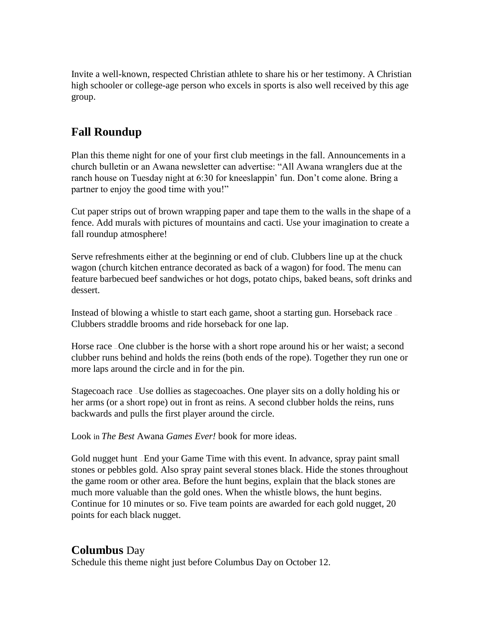Invite a well-known, respected Christian athlete to share his or her testimony. A Christian high schooler or college-age person who excels in sports is also well received by this age group.

### **Fall Roundup**

Plan this theme night for one of your first club meetings in the fall. Announcements in a church bulletin or an Awana newsletter can advertise: "All Awana wranglers due at the ranch house on Tuesday night at 6:30 for kneeslappin' fun. Don't come alone. Bring a partner to enjoy the good time with you!"

Cut paper strips out of brown wrapping paper and tape them to the walls in the shape of a fence. Add murals with pictures of mountains and cacti. Use your imagination to create a fall roundup atmosphere!

Serve refreshments either at the beginning or end of club. Clubbers line up at the chuck wagon (church kitchen entrance decorated as back of a wagon) for food. The menu can feature barbecued beef sandwiches or hot dogs, potato chips, baked beans, soft drinks and dessert.

Instead of blowing a whistle to start each game, shoot a starting gun. Horseback race – Clubbers straddle brooms and ride horseback for one lap.

Horse race – One clubber is the horse with a short rope around his or her waist; a second clubber runs behind and holds the reins (both ends of the rope). Together they run one or more laps around the circle and in for the pin.

Stagecoach race — Use dollies as stagecoaches. One player sits on a dolly holding his or her arms (or a short rope) out in front as reins. A second clubber holds the reins, runs backwards and pulls the first player around the circle.

Look in *The Best* Awana *Games Ever!* book for more ideas.

Gold nugget hunt — End your Game Time with this event. In advance, spray paint small stones or pebbles gold. Also spray paint several stones black. Hide the stones throughout the game room or other area. Before the hunt begins, explain that the black stones are much more valuable than the gold ones. When the whistle blows, the hunt begins. Continue for 10 minutes or so. Five team points are awarded for each gold nugget, 20 points for each black nugget.

#### **Columbus** Day

Schedule this theme night just before Columbus Day on October 12.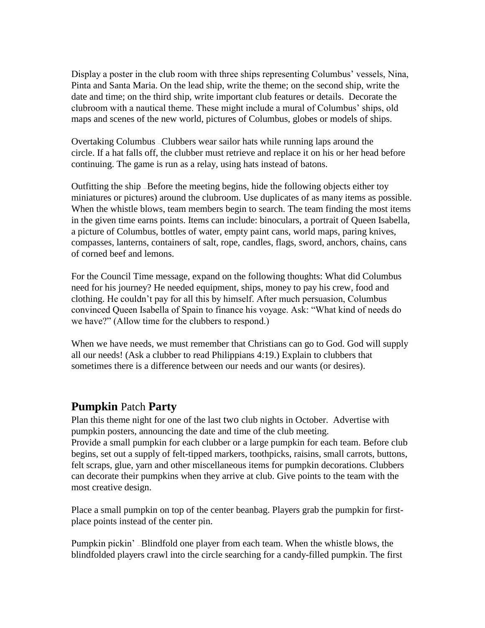Display a poster in the club room with three ships representing Columbus' vessels, Nina, Pinta and Santa Maria. On the lead ship, write the theme; on the second ship, write the date and time; on the third ship, write important club features or details. Decorate the clubroom with a nautical theme. These might include a mural of Columbus' ships, old maps and scenes of the new world, pictures of Columbus, globes or models of ships.

Overtaking Columbus — Clubbers wear sailor hats while running laps around the circle. If a hat falls off, the clubber must retrieve and replace it on his or her head before continuing. The game is run as a relay, using hats instead of batons.

Outfitting the ship — Before the meeting begins, hide the following objects either toy miniatures or pictures) around the clubroom. Use duplicates of as many items as possible. When the whistle blows, team members begin to search. The team finding the most items in the given time earns points. Items can include: binoculars, a portrait of Queen Isabella, a picture of Columbus, bottles of water, empty paint cans, world maps, paring knives, compasses, lanterns, containers of salt, rope, candles, flags, sword, anchors, chains, cans of corned beef and lemons.

For the Council Time message, expand on the following thoughts: What did Columbus need for his journey? He needed equipment, ships, money to pay his crew, food and clothing. He couldn't pay for all this by himself. After much persuasion, Columbus convinced Queen Isabella of Spain to finance his voyage. Ask: "What kind of needs do we have?" (Allow time for the clubbers to respond.)

When we have needs, we must remember that Christians can go to God. God will supply all our needs! (Ask a clubber to read Philippians 4:19.) Explain to clubbers that sometimes there is a difference between our needs and our wants (or desires).

#### **Pumpkin** Patch **Party**

Plan this theme night for one of the last two club nights in October. Advertise with pumpkin posters, announcing the date and time of the club meeting. Provide a small pumpkin for each clubber or a large pumpkin for each team. Before club begins, set out a supply of felt-tipped markers, toothpicks, raisins, small carrots, buttons, felt scraps, glue, yarn and other miscellaneous items for pumpkin decorations. Clubbers can decorate their pumpkins when they arrive at club. Give points to the team with the most creative design.

Place a small pumpkin on top of the center beanbag. Players grab the pumpkin for firstplace points instead of the center pin.

Pumpkin pickin' — Blindfold one player from each team. When the whistle blows, the blindfolded players crawl into the circle searching for a candy-filled pumpkin. The first